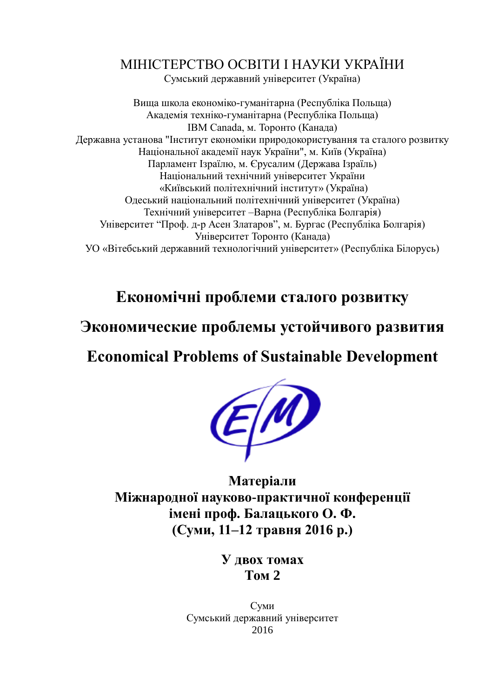## МІНІСТЕРСТВО ОСВІТИ І НАУКИ УКРАЇНИ

Сумський державний університет (Україна)

Вища школа економіко-гуманітарна (Республіка Польща) Академія техніко-гуманітарна (Республіка Польща) IBM Canada, м. Торонто (Канада) Державна установа "Інститут економіки природокористування та сталого розвитку Національної академії наук України", м. Київ (Україна) Парламент Ізраїлю, м. Єрусалим (Держава Ізраїль) Національний технічний університет України «Київський політехнічний інститут» (Україна) Одеський національний політехнічний університет (Україна) Технічний університет –Варна (Республіка Болгарія) Університет "Проф. д-р Асен Златаров", м. Бургас (Республіка Болгарія) Університет Торонто (Канада) УО «Вітебський державний технологічний університет» (Республіка Білорусь)

**Економічні проблеми сталого розвитку**

## **Экономические проблемы устойчивого развития**

**Economicаl Problems of Sustainable Development**



**Матеріали Міжнародної науково-практичної конференції імені проф. Балацького О. Ф. (Суми, 11–12 травня 2016 р.)**

> **У двох томах Том 2**

Суми Сумський державний університет 2016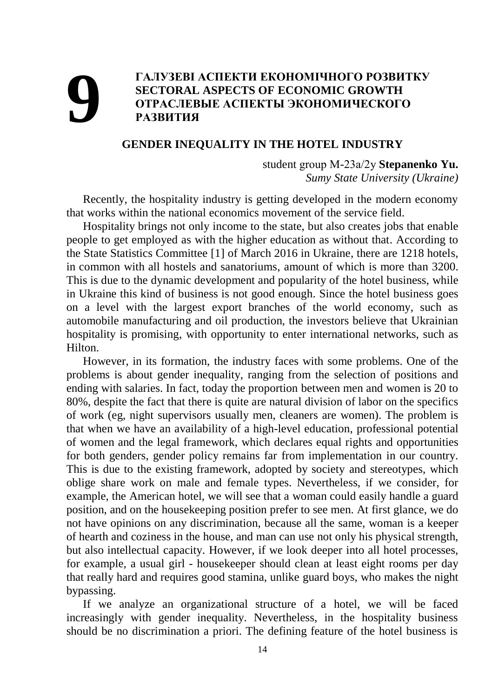## **9 • ГАЛУЗЕВІ АСПЕКТИ ЕКОНОМІЧНОГО РОЗВИТКУ**<br>**9 • SECTORAL ASPECTS OF ECONOMIC GROWTH**<br>• ОТРАСЛЕВЫЕ АСПЕКТЫ ЭКОНОМИЧЕСКОГО<br>• РАЗВИТИЯ **SECTORAL ASPECTS OF ECONOMIC GROWTH ОТРАСЛЕВЫЕ АСПЕКТЫ ЭКОНОМИЧЕСКОГО РАЗВИТИЯ**

## **GENDER INEQUALITY IN THE HOTEL INDUSTRY**

student group М-23а/2у **Stepanenko Yu.** *Sumy State University (Ukraine)*

Recently, the hospitality industry is getting developed in the modern economy that works within the national economics movement of the service field.

Hospitality brings not only income to the state, but also creates jobs that enable people to get employed as with the higher education as without that. According to the State Statistics Committee [1] of March 2016 in Ukraine, there are 1218 hotels, in common with all hostels and sanatoriums, amount of which is more than 3200. This is due to the dynamic development and popularity of the hotel business, while in Ukraine this kind of business is not good enough. Since the hotel business goes on a level with the largest export branches of the world economy, such as automobile manufacturing and oil production, the investors believe that Ukrainian hospitality is promising, with opportunity to enter international networks, such as Hilton.

However, in its formation, the industry faces with some problems. One of the problems is about gender inequality, ranging from the selection of positions and ending with salaries. In fact, today the proportion between men and women is 20 to 80%, despite the fact that there is quite are natural division of labor on the specifics of work (eg, night supervisors usually men, cleaners are women). The problem is that when we have an availability of a high-level education, professional potential of women and the legal framework, which declares equal rights and opportunities for both genders, gender policy remains far from implementation in our country. This is due to the existing framework, adopted by society and stereotypes, which oblige share work on male and female types. Nevertheless, if we consider, for example, the American hotel, we will see that a woman could easily handle a guard position, and on the housekeeping position prefer to see men. At first glance, we do not have opinions on any discrimination, because all the same, woman is a keeper of hearth and coziness in the house, and man can use not only his physical strength, but also intellectual capacity. However, if we look deeper into all hotel processes, for example, a usual girl - housekeeper should clean at least eight rooms per day that really hard and requires good stamina, unlike guard boys, who makes the night bypassing.

If we analyze an organizational structure of a hotel, we will be faced increasingly with gender inequality. Nevertheless, in the hospitality business should be no discrimination a priori. The defining feature of the hotel business is